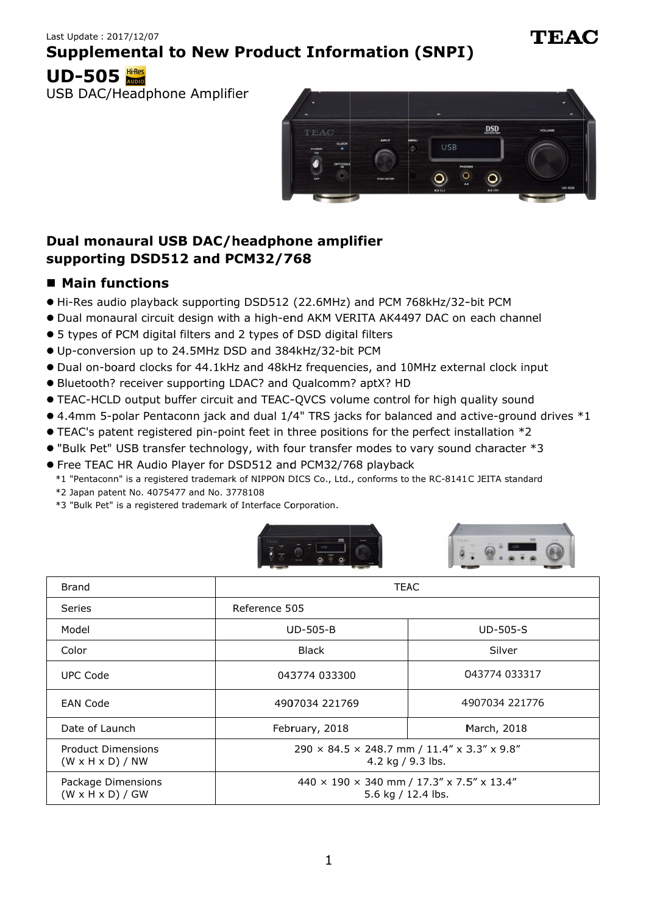# **Supplemental to New Product Information (SNPI) Supplemental to (SNPI) New New Information (SNPI)**



# **Dual monaural USB DAC/headphone amplifier amplifier supporting DSD512 and PCM32/768** Dual monaural USB<br>supporting DSD512<br>■ Main functions

## $\blacksquare$  **Main functions**

- Hi-Res audio playback supporting DSD512 (22.6MHz) and PCM 768kHz/32-
- Hi-Res audio playback supporting DSD512 (22.6MHz) and PCM 768kHz/32-bit PCM<br>● Dual monaural circuit design with a high-end AKM VERITA AK4497 DAC on each channel
- 5 types of PCM digital filters and 2 types of DSD digital filters Dual monaural circuit design with a high-end AKM<br>5 types of PCM digital filters and 2 types of DSD di<br>Up-conversion up to 24.5MHz DSD and 384kHz/32
- 5 types of PCM digital filters and 2 types of DSD digital filters<br>● Up-conversion up to 24.5MHz DSD and 384kHz/32-bit PCM
- · Dual on-board clocks for 44.1kHz and 48kHz frequencies, and 10MHz external clock input ● 5 types of PCM digital filters and 2 types of DSD digital filters<br>● Up-conversion up to 24.5MHz DSD and 384kHz/32-bit PCM<br>● Dual on-board clocks for 44.1kHz and 48kHz frequencies, and 10MHz external clock input<br>● Blueto conversion up to 24.5MHz DSD and 384kHz/32-bit PCM<br>il on-board clocks for 44.1kHz and 48kHz frequencies, and 10MHz external clock<br>etooth? receiver supporting LDAC? and Qualcomm? aptX? HD circuit design with a high-end AKM VERITA AK4497 DAC or<br>digital filters and 2 types of DSD digital filters<br>up to 24.5MHz DSD and 384kHz/32-bit PCM<br>clocks for 44.1kHz and 48kHz frequencies, and 10MHz exter<br>eiver supporting input
- · Bluetooth? receiver supporting LDAC? and Qualcomm? aptX? HD
- 
- TEAC-HCLD output buffer circuit and TEAC-QVCS volume control for high quality sound<br>■ 4.4mm 5-polar Pentaconn jack and dual 1/4" TRS jacks for balanced and active-ground of TEAC's patent registered pin-point feet in thr RITA AK4497 DAC on each channel<br>al filters<br>t PCM<br>cies, and 10MHz external clock input<br>? aptX? HD<br>ume control for high quality sound<br>ks for balanced and active-ground drives \*1
- 4.4mm 5-polar Pentaconn jack and dual 1/4" TRS jacks for balanced and active-groun<br>● TEAC's patent registered pin-point feet in three positions for the perfect installation \*2 ● 4.4mm 5-polar Pentaconn jack and dual 1/4" TRS jacks for balanced and active-ground o<br>● TEAC's patent registered pin-point feet in three positions for the perfect installation \*2<br>● "Bulk Pet" USB transfer technology, wi
- TEAC's patent registered pin-point feet in three positions for the perfect inst<br>● "Bulk Pet" USB transfer technology, with four transfer modes to vary sound<br>● Free TEAC HR Audio Player for DSD512 and PCM32/768 playback
- 
- \*1 "Pentaconn" is a registered trademark of NIPPON DICS Co., Ltd., conforms to the RC-8141C JEITA standard<br>\*2 Japan patent No. 4075477 and No. 3778108<br>\*3 "Bulk Pet" is a registered trademark of Interface Corporation.
- \*2 Japan patent No. 4075477 and No. 3778108
- \*2 Japan patent No. 4075477 and No. 3778108<br>\*3 "Bulk Pet" is a registered trademark of Interface Corporation.





| <b>Supplemental to New Product Information (SNPI)</b>                                                                                                                       |                                                                                                                                                                                          |                                                                    |  |  |  |  |
|-----------------------------------------------------------------------------------------------------------------------------------------------------------------------------|------------------------------------------------------------------------------------------------------------------------------------------------------------------------------------------|--------------------------------------------------------------------|--|--|--|--|
| <b>UD-505</b>                                                                                                                                                               |                                                                                                                                                                                          |                                                                    |  |  |  |  |
| USB DAC/Headphone Amplifier                                                                                                                                                 |                                                                                                                                                                                          |                                                                    |  |  |  |  |
|                                                                                                                                                                             | TEAC                                                                                                                                                                                     | <b>DSD</b><br><b>VOLUME</b><br>USB<br>PHONES<br>$\circ$<br>$\circ$ |  |  |  |  |
| Dual monaural USB DAC/headphone amplifier<br>supporting DSD512 and PCM32/768                                                                                                |                                                                                                                                                                                          |                                                                    |  |  |  |  |
| ■ Main functions                                                                                                                                                            |                                                                                                                                                                                          |                                                                    |  |  |  |  |
|                                                                                                                                                                             | • Hi-Res audio playback supporting DSD512 (22.6MHz) and PCM 768kHz/32-bit PCM                                                                                                            |                                                                    |  |  |  |  |
|                                                                                                                                                                             | . Dual monaural circuit design with a high-end AKM VERITA AK4497 DAC on each channel                                                                                                     |                                                                    |  |  |  |  |
|                                                                                                                                                                             | • 5 types of PCM digital filters and 2 types of DSD digital filters                                                                                                                      |                                                                    |  |  |  |  |
| OUp-conversion up to 24.5MHz DSD and 384kHz/32-bit PCM<br>. Dual on-board clocks for 44.1kHz and 48kHz frequencies, and 10MHz external clock input                          |                                                                                                                                                                                          |                                                                    |  |  |  |  |
| • Bluetooth? receiver supporting LDAC? and Qualcomm? aptX? HD                                                                                                               |                                                                                                                                                                                          |                                                                    |  |  |  |  |
|                                                                                                                                                                             | • TEAC-HCLD output buffer circuit and TEAC-QVCS volume control for high quality sound<br>● 4.4mm 5-polar Pentaconn jack and dual 1/4" TRS jacks for balanced and active-ground drives *1 |                                                                    |  |  |  |  |
|                                                                                                                                                                             | ● TEAC's patent registered pin-point feet in three positions for the perfect installation *2                                                                                             |                                                                    |  |  |  |  |
| • "Bulk Pet" USB transfer technology, with four transfer modes to vary sound character *3                                                                                   |                                                                                                                                                                                          |                                                                    |  |  |  |  |
| ● Free TEAC HR Audio Player for DSD512 and PCM32/768 playback<br>*1 "Pentaconn" is a registered trademark of NIPPON DICS Co., Ltd., conforms to the RC-8141C JEITA standard |                                                                                                                                                                                          |                                                                    |  |  |  |  |
| *2 Japan patent No. 4075477 and No. 3778108                                                                                                                                 |                                                                                                                                                                                          |                                                                    |  |  |  |  |
| *3 "Bulk Pet" is a registered trademark of Interface Corporation.                                                                                                           |                                                                                                                                                                                          |                                                                    |  |  |  |  |
|                                                                                                                                                                             |                                                                                                                                                                                          |                                                                    |  |  |  |  |
| <b>Brand</b>                                                                                                                                                                | <b>TEAC</b>                                                                                                                                                                              |                                                                    |  |  |  |  |
| Series                                                                                                                                                                      | Reference 505                                                                                                                                                                            |                                                                    |  |  |  |  |
| Model                                                                                                                                                                       | <b>UD-505-B</b>                                                                                                                                                                          | UD-505-S                                                           |  |  |  |  |
| Color                                                                                                                                                                       | <b>Black</b>                                                                                                                                                                             | Silver                                                             |  |  |  |  |
| <b>UPC Code</b>                                                                                                                                                             | 043774 033300                                                                                                                                                                            | 043774 033317                                                      |  |  |  |  |
| <b>EAN Code</b>                                                                                                                                                             | 4907034 221769                                                                                                                                                                           | 4907034 221776                                                     |  |  |  |  |
| Date of Launch                                                                                                                                                              | February, 2018                                                                                                                                                                           | March, 2018                                                        |  |  |  |  |
| Product Dimensions<br>$(W \times H \times D) / NW$                                                                                                                          | 290 × 84.5 × 248.7 mm / 11.4" x 3.3" x 9.8"<br>4.2 kg / 9.3 lbs.                                                                                                                         |                                                                    |  |  |  |  |
| Package Dimensions<br>$(W \times H \times D) / GW$                                                                                                                          | 440 × 190 × 340 mm / 17.3" x 7.5" x 13.4"<br>5.6 kg / 12.4 lbs.                                                                                                                          |                                                                    |  |  |  |  |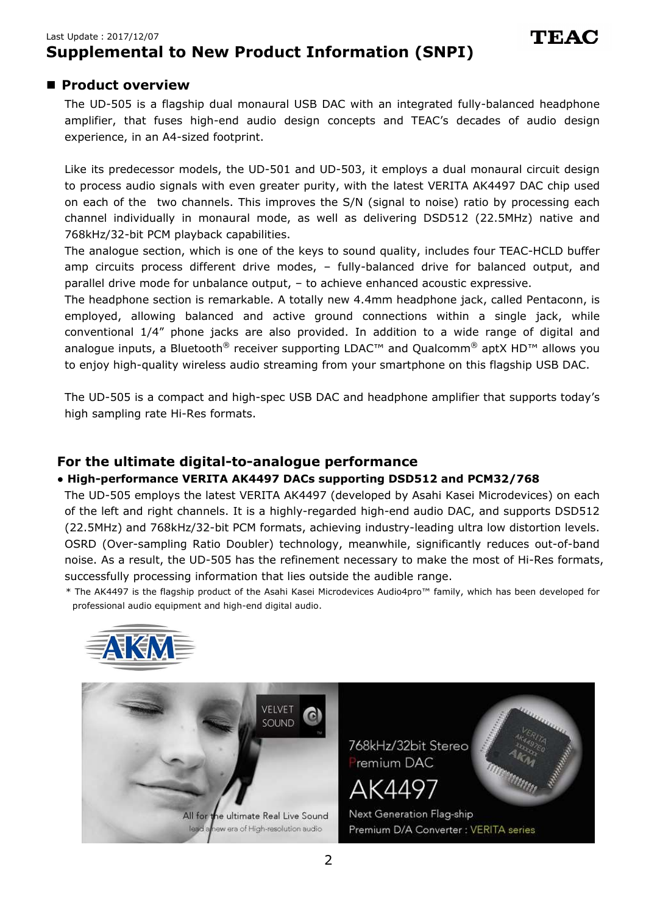### Last Update:2017/12/07 **Supplemental to New Product Information (SNPI)**

## **Product overview**

The UD-505 is a flagship dual monaural USB DAC with an integrated fully-balanced headphone amplifier, that fuses high-end audio design concepts and TEAC's decades of audio design experience, in an A4-sized footprint.

Like its predecessor models, the UD-501 and UD-503, it employs a dual monaural circuit design to process audio signals with even greater purity, with the latest VERITA AK4497 DAC chip used on each of the two channels. This improves the S/N (signal to noise) ratio by processing each channel individually in monaural mode, as well as delivering DSD512 (22.5MHz) native and 768kHz/32-bit PCM playback capabilities.

The analogue section, which is one of the keys to sound quality, includes four TEAC-HCLD buffer amp circuits process different drive modes, – fully-balanced drive for balanced output, and parallel drive mode for unbalance output, – to achieve enhanced acoustic expressive.

The headphone section is remarkable. A totally new 4.4mm headphone jack, called Pentaconn, is employed, allowing balanced and active ground connections within a single jack, while conventional 1/4" phone jacks are also provided. In addition to a wide range of digital and analogue inputs, a Bluetooth<sup>®</sup> receiver supporting LDAC<sup>™</sup> and Qualcomm<sup>®</sup> aptX HD<sup>™</sup> allows you to enjoy high-quality wireless audio streaming from your smartphone on this flagship USB DAC.

The UD-505 is a compact and high-spec USB DAC and headphone amplifier that supports today's high sampling rate Hi-Res formats.

## **For the ultimate digital-to-analogue performance**

### **● High-performance VERITA AK4497 DACs supporting DSD512 and PCM32/768**

The UD-505 employs the latest VERITA AK4497 (developed by Asahi Kasei Microdevices) on each of the left and right channels. It is a highly-regarded high-end audio DAC, and supports DSD512 (22.5MHz) and 768kHz/32-bit PCM formats, achieving industry-leading ultra low distortion levels. OSRD (Over-sampling Ratio Doubler) technology, meanwhile, significantly reduces out-of-band noise. As a result, the UD-505 has the refinement necessary to make the most of Hi-Res formats, successfully processing information that lies outside the audible range.

\* The AK4497 is the flagship product of the Asahi Kasei Microdevices Audio4pro™ family, which has been developed for professional audio equipment and high-end digital audio.



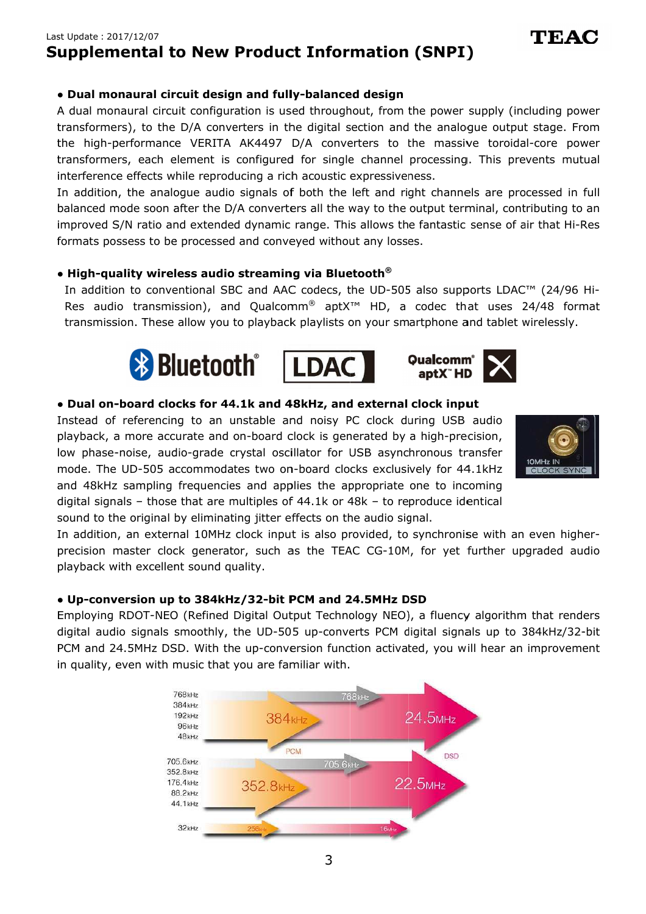## Last Update : 2017/12/07 **Supplemental to New Product Information (SNPI) Supplemental to New**

### **● Dual monaural circuit design and ● circuit design fully fully-balance**

A dual mon aural transformers), to the D/A converters in the digital section and the analogue output stage. From A dual monaural circuit configuration is used throughout, from the power supply (including p<br>transformers), to the D/A converters in the digital section and the analogue output stage.<br>the high-performance VERITA AK4497 transformers, each element is configured for single channel processing. This prevents mutual interference effects while reproducing a rich acoustic expressiveness. A dual monaural circuit configuration is used throughout, from the power supply (including pow<br>transformers), to the D/A converters in the digital section and the analogue output stage. Fre<br>the high-performance VERITA AK44 **and fully-balanced design**<br> **and fully-balanced design**<br> **and function is used throughout, from the power supply (including power<br>
ters in the digital section and the analogue output stage. From<br>
AK4497 D/A converters to** 

In addition, the analogue audio signals of both the left and right channels are balanced mode soon after the D/A converters all the way to the output terminal, contributing to an improved S/N ratio and extended dynamic range. This allows the fantastic sense of air that Hi-Res formats possess to be processed and conve yed without any losses. transformers, each element is configured for single channel processing. This prevents mutual<br>interference effects while reproducing a rich acoustic expressiveness.<br>In addition, the analogue audio signals of both the left a In addition, the analogue audio signals of both the left and right channels are processed ir<br>balanced mode soon after the D/A converters all the way to the output terminal, contributing t<br>improved S/N ratio and extended dy core power<br>ents mutual<br>essed in full<br>buting to an<br>that Hi-Res<br>(24/96 Hi-

### **● High ● High-quality wireless audio streaming via Bluetooth quality audio streaming Bluetooth ®**

In addition to conventional SBC and AAC codecs, the UD-505 also supports LDAC™ (24/96 Hi Res audio transmission), and Qualcomm Res audio transmission), and Qualcomm® aptX™ HD, a codec that uses 24/48 for<br>transmission. These allow you to playback playlists on your smartphone and tablet wirelessly. In addition to conventional SBC and AAC codecs, the UD-505 also supports LDAC™ (24/96<br>Res audio transmission), and Qualcomm® aptX™ HD, a codec that uses 24/48 for<br>transmission. These allow you to playback playlists on you audio transmission), and Qualcomm® aptX™ HD, a codec that uses 24/48 format balanced mode soon after the D/A converters all the way to the output terminal, contributing to<br>improved S/N ratio and extended dynamic range. This allows the fantastic sense of air that Hi-I<br>formats possess to be process







### **•** Dual on-board clocks for 44.1k and 48kHz, and external clock input

Instead of referencing to an unstable and noisy PC clock during USB audio playback, a more accurate and on low phase-noise, audio-grade crystal oscillator for USB asynchronous transfer low phase-noise, audio-grade crystal oscillator for USB asynchronous transfer<br>mode. The UD-505 accommodates two on-board clocks exclusively for 44.1kHz<br>and 48kHz sampling frequencies and applies the appropriate one to inco and 48kHz sampling frequencies and applies the appropriate one to incoming digital signals – those that are multiples of 44.1k or 48k sound to the original by eliminating jitter effects on the audio signal. Instead of referencing to an unstable and noisy PC clock during USB audio<br>playback, a more accurate and on-board clock is generated by a high-precision,<br>low phase-noise, audio-grade crystal oscillator for USB asynchronous mode. The UD-505 accommodates two on-board clocks exclusively for 44.1kHz<br>and 48kHz sampling frequencies and applies the appropriate one to incoming<br>digital signals – those that are multiples of 44.1k or 48k – to reproduce A dual om-board configuration is used throughout, from the power supply (including power<br>transformers), to the D/A converters in the digital section and the analogue output stage. From<br>transformers, each element is configu **tal to New Product Information (SNPI)**<br> **ral circuit design and fully-balanced design**<br>
al circuit configuration is used throughout, from the power sto the D/A converters in the digital section and the analog<br>
mance VERIT low phase-noise, audio-grade crystal oscillator for USB asynchronous transfer mode. The UD-505 accommodates two on-board clocks exclusively for 44.1kHz and 48kHz sampling frequencies and applies the appropriate one to inco and 48kHz sampling frequencies and applies the appropriate one to incoming<br>digital signals – those that are multiples of 44.1k or 48k – to reproduce identical<br>sound to the original by eliminating jitter effects on the audi COMM<sup>®</sup> aptX<sup>TM</sup> HD, a codec that uses 24/48<br>ack playlists on your smartphone and tablet wireles<br>**COMM**<br>**aptX<sup>T</sup>HD<br>d 48kHz, and external clock input**<br>and noisy PC clock during USB audio<br>d clock is generated by a high-prec **ico New Product Information (SNPI)**<br>
circuit configuration is used throughout, from the power supply (including power<br>
exce VERTA AK4497 D/A converters in the analogue output stage. From<br>
ce VERTA AK4497 D/A converters to **pplemential to New Product Information (SNPI)**<br> **ual monaural circuit design and fully-balanced design<br>
monaural circuit configuration is used throughout, from the power supply (including power<br>
high-performance, VERTA AK** referencing to an unstable and noisy PC clock during USB audio<br>more accurate and on-board clock is generated by a high-precision,<br>noise, audio-grade crystal oscillator for USB asynchronous transfer<br>UD-505 accommodates two converters to the massive toroidal-core power<br>
sistic expressivenessing. This prevents mutual<br>
sistic expressiveness.<br>
the left and right channels are processed in full<br>
the way to the output terminal, contributing to an<br>



In addition, an external 10MHz clock input is also provided, to synchronise with an ev precision master clock generator, such as the TEAC CG CG-10M, for yet further upgraded audio playback with excellent sound quality. even higher-

### **● Up ● Up-conversion up to 384kHz/32 conversion 384kHz/32-bit PCM and 24.5MHz DSD bit and 24.5MHz DSD bit DSDbit PCM**

Employing RDOT-NEO (Refined Digital Output Technology NEO), a fluency algorithm that renders Employing RDOT-NEO (Refined Digital Output Technology NEO), a fluency algorithm that renders<br>digital audio signals smoothly, the UD-505 up-converts PCM digital signals up to 384kHz/32-bit PCM and 24.5MHz DSD. With the up-conversion function activated, you will hear an improvement in quality, even with music that you are familiar with.

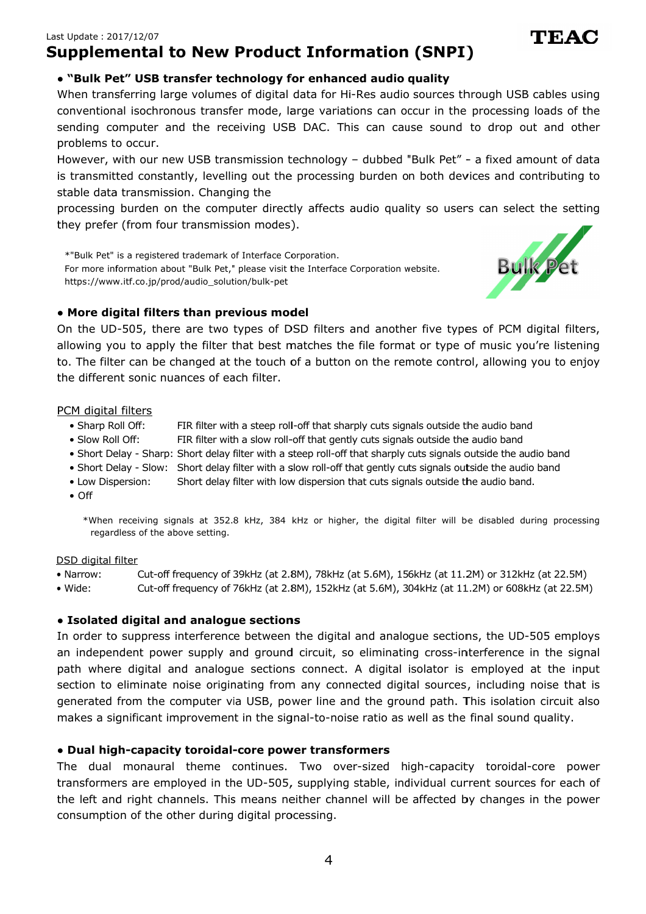# **Supplemental to New Product Information (SNPI) Supplemental to**

### **● ● "Bulk Pet" USB transfer technology for enhanced audio quality enhanced USB transfer enhanced audio**

When transferring large volumes of digital data for Hi When transferring large volumes of digital data for Hi-Res audio sources through USB cables us<br>conventional isochronous transfer mode, large variations can occur in the processing loads of sending computer and the receiving USB DAC. This can cause sound to drop out and other problems to occur. When transferring large volumes of digital data for Hi<br>conventional isochronous transfer mode, large variat<br>sending computer and the receiving USB DAC. Th<br>problems to occur.<br>However, with our new USB transmission technolog onal isochronous transfer mode, large variations can occur in the processing loads of the computer and the receiving USB DAC. This can cause sound to drop out and other to occur.<br>to occur.<br>with our new USB transmission tec

is transmitted constantly, levelling out the processing burden on both devices and contributing to stable data transmission. Changing the sending computer and the receiving USB DAC. This can cause sound to<br>problems to occur.<br>However, with our new USB transmission technology – dubbed "Bulk Pet" - is<br>is transmitted constantly, levelling out the processing burd – dubbed "Bulk Pet" - a fixed amount of data ed constantly, levelling out the processing burden on both devices and contributing to<br>transmission. Changing the<br>burden on the computer directly affects audio quality so users can select the setting

processing burden on the computer directly affects audio quality so users can select the setting they prefer (from four transmission modes). ssing burden on both devices and<br>ects audio quality so users can sel<br>on.<br>fface Corporation website.<br>ers and another five types of PCM<br>s the file format or type of music y

\*"Bulk Pet" is a registered trademark of Interface Corporation. For more information about "Bulk Pet," please visit the Interface Corporation website. https://www.itf.co.jp/prod/audio\_solution/bulk \*"Bulk Pet" is a registered trademark of Interface (<br>For more information about "Bulk Pet," please visit<br>https://www.itf.co.jp/prod/audio\_solution/bulk-pet more information about "Bulk Pet," please visit the Interface Corporation website.



TEA(

### **● More dig ● digital filters than previous model ital model ital filters**

On the UD UD-505, there are two types of DSD filters and another five types of PCM digital filters, allowing you to apply the filter that best matches the file format or type of music you're listening to. The filter can be ch the different sonic nuances of each filter. On the UD-505, there are two types of DSD filters and another five types of PCM digital f<br>allowing you to apply the filter that best matches the file format or type of music you're list<br>to. The filter can be changed at the JD-505, there are two types of DSD filters and another five types of PCM digital filters,<br>you to apply the filter that best matches the file format or type of music you're listening<br>lter can be changed at the touch of a bu ed constantly, levelling out the processing burden on both devices and contributing to<br>transmission. Changing the<br>pourden on the computer directly affects audio quality so users can select the setting<br>(from four transmissi

### PCM digital filters

- Sharp Roll Off: FIR filter with a steep roll-off that sharply cuts signals outside the audio band
- Slow Roll Off: FIR filter with a steep roll-off that sharply cuts signals outside the audio band<br>FIR filter with a slow roll-off that gently cuts signals outside the audio band
- Short Delay Sharp: Short delay filter with a steep roll-off that sharply cuts signals outside the audio band
- Short Delay Slow: Short delay filter with a slow roll-off that gently cuts signals outside the audio band filter with a steep roll-off that sharply cuts signals outside the audio band<br>filter with a slow roll-off that gently cuts signals outside the audio band<br>filter with low dispersion that cuts signals outside the audio band.
- Low Dispersion: Short delay filter with a slow roll-off that gently cuts signals outside the audio<br>Short delay filter with low dispersion that cuts signals outside the audio band.
- Off

\*When receiving signals at 352.8 kHz, 384 kHz or higher, the digital filter will be disabled during processing<br>regardless of the above setting. regardless of the above setting. l-off that sharply cuts signals outside the audio<br>off that gently cuts signals outside the audio<br>teep roll-off that sharply cuts signals outside th<br>low roll-off that gently cuts signals outside th<br>dispersion that cuts sign

### DSD digital filter

- Narrow: Cut-off frequency of 39kHz (at 2.8M), 78kHz (at 5.6M), 156kHz (at 11.2M) or 312kHz (at 22.5M) of 39kHz (at 5.6M), 156kHz (at 22.5M)
- Wide: Cut-off frequency of 39kHz (at 2.8M), 78kHz (at 5.6M), 156kHz (at 11.2M) or 312kHz (at 22.5M)<br>Cut-off frequency of 76kHz (at 2.8M), 152kHz (at 5.6M), 304kHz (at 11.2M) or 608kHz (at 22.5M)

### **● ● Isolated digital and analogue sections ue sections**

In order to suppress interference between the digital and analogue sections, the UD-505 employs In order to suppress interference between the digital and analogue sections, the UD-505 employs<br>an independent power supply and ground circuit, so eliminating cross-interference in the signal<br>path where digital and analogu path where digital and analogue sections connect. A digital isolator is employed at the input section to eliminate noise originating from any connected digital sources, including noise that is generated from the computer via USB, power line and the ground path. This isolation circuit also section to eliminate noise originating from any connected digital sources, including<br>generated from the computer via USB, power line and the ground path. This isolatio<br>makes a significant improvement in the signal-to-noise path where digital and analogue sections connect. A digital isolator is employed at the input<br>section to eliminate noise originating from any connected digital sources, including noise that is<br>generated from the computer v **• "Bulk Pet" USB transfer trechnology for enhanced audio quality quality consumptions isomorentions isomorentions between the consumptions of the consumption and the recording USB DAC. This can coust on order in problems to New Product Information (SNPI)**<br> **transfer technology for enhanced autio quality<br>
ararge volumes of digital data for Hi-Res audio sources the<br>
and the receiving USB DAC. This can accur in the parallelication<br>
and the r New Product Information (SNPI)**<br> **Serie technology for enhanced audio quality outline strategy distributed audio quality<br>
solutions of digital data for Hi-Res audio sources through USB cs<br>
be transfer mode, large variatio** pendent power supply and ground circuit, so eliminating cross-interference in the signal<br>nere digital and analogue sections connect. A digital isolator is employed at the input<br>to eliminate noise originating from any conne When transforming large voltimes of digital deach or Hi-Res audio sources through USB cables using<br>conventional isochromos transformed, large variations can occur in the processing loads of the<br>problems to occur.<br>The very between the digital and analogue sections, the UD-505 emplared ground circuit, so eliminating cross-interference in the sections connect. A digital isolator is employed at the is ting from any connected digital sources, in **upplemental to New Product Information (SNPI)**<br> **e-Sulk Pet" USB tensiste relation (select technology for animated audio sources through USB cables using<br>
Show the relation of the load of the sultan concern the through te upplemental to New Product Information (GNPI)**<br> **upplemental to New Product Information (GNPI)**<br>
When transferring large columns of riginal disable can these ands connect trength USB calibles, to the<br>connectional isotrom arge variations can occur in the processing loads of the<br>
Be DAC. This can cause sound to drop out and other<br>
technology – dubbed "Bulk Pet" – a fixed amount of data<br>
et processing burden on both devices and contributing t ross-interference in the signal<br>ator is employed at the input<br>ources, including noise that is<br>path. This isolation circuit also<br>as the final sound quality.<br>capacity toroidal-core power

### **● Dual high ● high-capacity toroidal capacity toroidal--core power transformers**

The dual monaural theme continues. Two over-sized high-capacity toroidal-core power<br>transformers are employed in the UD-505, supplying stable, individual current sources for each of the left and right channels. This means neither channel will be affected by changes in the power consumption of the other during digital processing.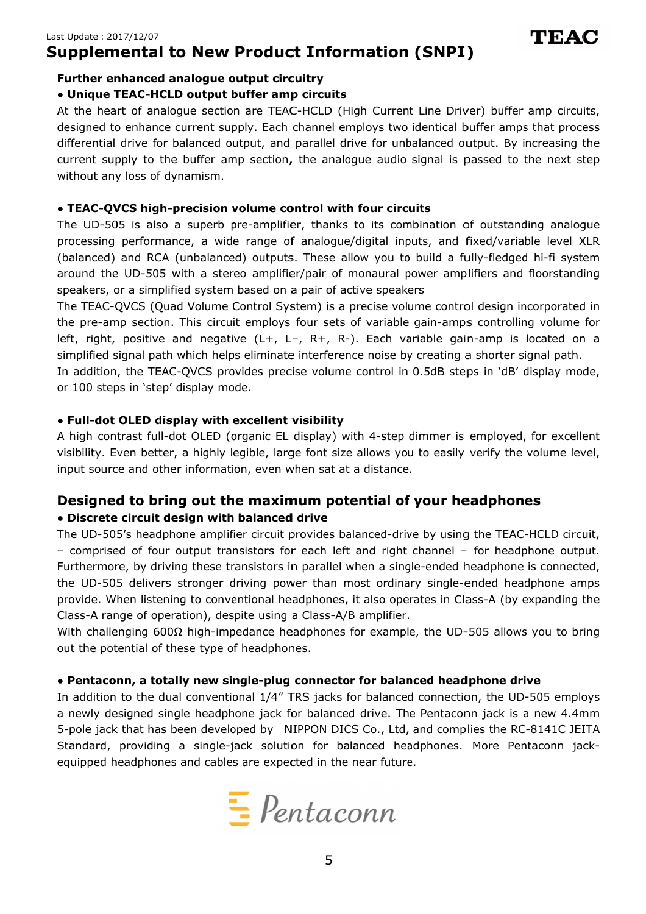# **Supplemental to New Product Information (SNPI) Supplemental to (SNPI) New Information (SNPI)to**

### **Further enhanced Further enhanced analogue output circuit ue output circuitry**

# Further enhanced analogue output circuitry<br>• Unique TEAC-HCLD output buffer amp circuits

At the heart of analogue section are TEAC-HCLD (High Current Line Driver) buffer amp circuits, designed to enhance current supply. Each channel employs two identical buffer amps that process differential drive for balanced output, and parallel drive for unbalanced output. By increasing the At the heart of analogue section are TEAC-HCLD (High Current Line Driver) buffer amp circuits,<br>designed to enhance current supply. Each channel employs two identical buffer amps that process<br>differential drive for balanced without any loss of dynamism. without **HCLD output**<br>analogue sectic<br>ince current su<br>for balanced o<br>b the buffer ar<br>of dynamism.<br>**igh-precision** eart of analogue section are TEAC-HCLD (High Current Line Driver) buffer amp circuits,<br>It to enhance current supply. Each channel employs two identical buffer amps that process<br>ial drive for balanced output, and parallel d

TEAC

### **● TEAC ● TEAC-QVCS high QVCS high-precision volume control with four circuits precision volume with four precision**

The UD-505 is also a superb pre-amplifier, thanks to its combination of outstanding analogue processing performance, a wide range of analogue/digital inputs, and fixed/variable level XLR processing performance, a wide range of analogue/digital inputs, and fixed/variable level XLR<br>(balanced) and RCA (unbalanced) outputs. These allow you to build a fully-fledged hi-fi system around the UD around UD speakers, or a simplified system based on a pair of active speakers 505 is also a superb pre-amplifier, thanks to its combination of outstanding analogue<br>ng performance, a wide range of analogue/digital inputs, and fixed/variable level XLR<br>d) and RCA (unbalanced) outputs. These allow you t ng performance, a wide range of analogue/digital inputs, and fixed/variable level<br>d) and RCA (unbalanced) outputs. These allow you to build a fully-fledged hi-fi sys<br>the UD-505 with a stereo amplifier/pair of monaural powe amplifier, thanks to its combination of outstanding analogue performance, a wide range of analogue/digital inputs, and fixed/variable level XLR and RCA (unbalanced) outputs. These allow you to build a fully-fledged hi-fi s re TEAC-HCLD (High Current Line Driver) buffer amp<br>
. Each channel employs two identical buffer amps that<br>
ut, and parallel drive for unbalanced output. By increa<br>
section, the analogue audio signal is passed to the no<br> **u** 

speakers, or a simplified system based on a pair of active speakers<br>The TEAC-QVCS (Quad Volume Control System) is a precise volume control design incorporated in The TEAC-QVCS (Quad Volume Control System) is a precise volume control<br>the pre-amp section. This circuit employs four sets of variable gain-amps left, right, positive and negative (L+, L simplified signal path which helps eliminate interference noise by creating a shorter signal path. noise by creating a shorter signal path. simplified signal path which helps eliminate interference noise by creating a shorter signal pa<br>In addition, the TEAC-QVCS provides precise volume control in 0.5dB steps in 'dB' display simplified signal path which helps el<br>In addition, the TEAC-QVCS provid<br>or 100 steps in 'step' display mode. 505 with a stereo amplifier/pair of monaural power amplifiers and floorstanding<br>implified system based on a pair of active speakers<br>(Quad Volume Control System) is a precise volume control design incorporated in<br>ction. Th positive and negative (L+, L–, R+, R-). Each variable gain-amp is located on a<br>signal path which helps eliminate interference noise by creating a shorter signal path.<br>1, the TEAC-QVCS provides precise volume control in 0.5 amps controlling volume for<br>gain-amp is located on a<br>ing a shorter signal path.<br>3 steps in 'dB' display mode,<br>er is employed, for excellent<br>asily verify the volume level,<br>**r headphones**<br>using the TEAC-HCLD circuit,

### **● F ● Full-dot OLED display with excellent visibility dot OLED display visibilitydot with visibility**

A high contrast full-dot OLED (organic EL display) with 4-step dimmer is employed, for excellent visibility. Even better, a highly legible, large font size allows you to easily verify the volume level, input source and other information, even when sat at a A high contrast full-dot OLED (organic EL display) with 4-step di<br>visibility. Even better, a highly legible, large font size allows you<br>input source and other information, even when sat at a distance. visibility. Even better, a highly legible, large font size allows you to easily verify the volume level,<br>input source and other information, even when sat at a distance. n, the TEAC-QVCS provides precise volume control in 0.5dB steps in 'dB' display r<br>eps in 'step' display mode.<br>**t OLED display with excellent visibility**<br>ntrast full-dot OLED (organic EL display) with 4-step dimmer is emplo

# **Designed to b Designed bring out the ring maximum maximum potential of**  other information, even when sat at a distance.<br>**pring out the maximum potential of you<br>it design with balanced drive**<br>adphone amplifier circuit provides balanced-drive by **potential of your headphones headphones**

### **● Discrete circuit design with balanced drive ● circuit design with balanced**

The UD-505's headphone amplifier circuit provides balanced-drive by using the TEAC-– comprised of four output transistors for each left and right channel Furthermore, by driving these transistors in parallel when a single-ended headphone is connected, Furthermore, by driving these transistors in parallel when a single-ended headphone is connected,<br>the UD-505 delivers stronger driving power than most ordinary single-ended headphone amps provi provide. When listening to conventional Class-A range of operation), despite using a Class-A/B amplifier. **Further enhanced analogue<br>
• Unique TEAC-HCLD outpu**<br>
At the heart of analogue securent<br>
detsigned to enhance current<br>
differential drive for balance<br>
current supply to the buffer<br>
without any loss of dynamism<br>
• **TEAC-QV** D-505's headphone amplifier circuit provides balance<br>prised of four output transistors for each left and<br>ermore, by driving these transistors in parallel when<br>D-505 delivers stronger driving power than most of<br>e. When list headphones, it also operates in Class-A (by expanding the **d to New Product Information (SNPI)**<br> **d analogue output circuits**<br> **dD output buffer amp circuits**<br> **dDD** output buffer amp circuits<br>
aloop setcon are TEAC-HCLD (High Current Line Drive?) buffer amp stress<br>
ce current su e UD-505's headphone amplifier circuit provides balanced-driv<br>comprised of four output transistors for each left and right<br>rthermore, by driving these transistors in parallel when a sing<br>e UD-505 delivers stronger driving four output transistors for each left and right channel – for headphone output. for headphone output.<br>
headphone is connected,<br>
ended headphone amps<br>
sss-A (by expanding the<br>
505 allows you to bring<br> **phone drive**<br>
phone drive<br>
phone drive hi-fi system<br>floorstanding<br>corporated in<br>g volume for<br>ocated on a<br>gnal path.<br>isplay mode,<br>for excellent<br>volume level,<br>**explay**<br>standing the<br>volume amps<br>xpanding the<br>you to bring<br>veu 4.4mm<br>8141C JEITA<br>aconn jack-

With challenging 600Ω high-impedance headphones for example, the UD<br>out the potential of these type of headphones. With challenging 600Ω high-impedance headp<br>out the potential of these type of headphones. B amplifier.<br>for example, the UD-505 allows<br>**pr for balanced headphone dri**<br>for balanced connection, the UD despite using a Class-A/B amplifier.<br>impedance headphones for example, the UD-505 allows you to bring

#### **• Pentaconn, a totally new single-plug connector for balanced headphone drive balanced headphone plug**

In addition to the dual conventional  $1/4''$  TRS jacks for balanced connection, the UD-In addition to the dual conventional 1/4" TRS jacks for balanced connection, the UD-505 employs<br>a newly designed single headphone jack for balanced drive. The Pentaconn jack is a new 4.4mm 5-pole jack that has been developed by NIPPON DICS Co., Ltd, and complies the RC Standard, providing a single-jack solution for balanced headphones. More Pentaconn jack equipped headphones and cables are expected in the near future. the dual conventional 1/4" TRS jacks for balanced connection, the UD-5<br>hed single headphone jack for balanced drive. The Pentaconn jack is a<br>at has been developed by NIPPON DICS Co., Ltd, and complies the RC-8<br>viding a sin dual conventional 1/4" TRS jacks for balanced connection, the UD-505 e<br>single headphone jack for balanced drive. The Pentaconn jack is a new<br>as been developed by NIPPON DICS Co., Ltd, and complies the RC-8141<sup>1</sup><br>ng a singl RC-8141C JEITA

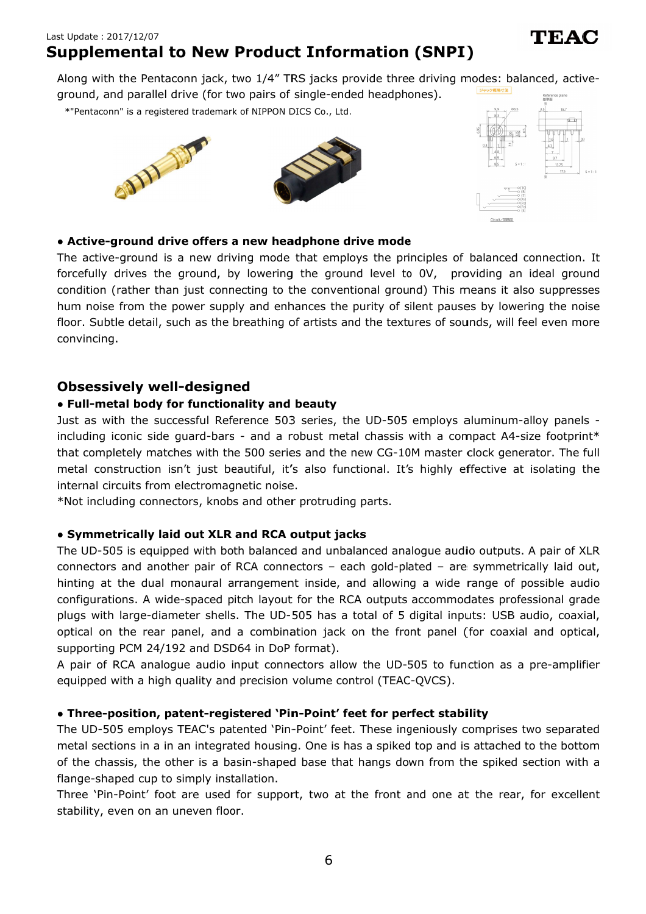# **Supplemental to New Product Information (SNPI) Supplemental to**

Along with the Pentaconn jack, two 1/4" TRS jacks provide three driving modes: balanced, active-<br>ground, and parallel drive (for two pairs of single-ended headphones). Along with the Pentaconn jack, two 1/4" TRS jac<br>ground, and parallel drive (for two pairs of single

\*"Pentaconn" is a registered trademark of NIPPON DICS Co., Ltd.





те А

### **● Active ● Active-ground drive offer ground offers a new headphone drive mode a new a new headphone**

The active-ground is a new driving mode that employs the principles of balanced connectio The active-ground is a new driving mode that employs the principles of balanced connection. It<br>forcefully drives the ground, by lowering the ground level to 0V, providing an ideal ground The active-ground is a new driving mode that employs the principles of balanced connection. It<br>forcefully drives the ground, by lowering the ground level to 0V, providing an ideal ground<br>condition (rather than just connect condition (rather than just connecting to the conventional ground) This means it also suppresses<br>hum noise from the power supply and enhances the purity of silent pauses by lowering the noise hum noise from the power supply and enhances the purity of silent pauses by lowering the noise<br>floor. Subtle detail, such as the breathing of artists and the textures of sounds, will feel even more convincing convincing. .

## **Obsessively well Obsessively well-designed designed**

### **● Full ● Full-metal body for functionality and beauty metal and metal body metal body for beauty**

Just as with the successful Reference 503 series, the UD-505 employs aluminum-alloy panels including iconic side guard including iconic side guard-bars - and a robust metal chassis with a compact A4-size footprint\*<br>that completely matches with the 500 series and the new CG-10M master clock generator. The full metal construction isn't just beautiful, it's also functional. It's highly effective at isolating the internal circuits from electromagnetic noise. Just as with the successful Reference 503 series, the UD-505 employs aluminui<br>including iconic side guard-bars - and a robust metal chassis with a compact A-<br>that completely matches with the 500 series and the new CG-10M m cessful Reference 503 series, the UD-505 employs aluminum-alloy panels -<br>guard-bars - and a robust metal chassis with a compact A4-size footprint\* that completely matches with the 500 series and the new CG<br>metal construction isn't just beautiful, it's also functional.<br>internal circuits from electromagnetic noise. bothe detail, such as the breathing of artists and the textures of sounds, will feel even more<br>
sively well-designed<br>
hetal body for functionality and beauty<br>
with the successful Reference 503 series, the UD-505 employs al

\*Not including connectors, knobs and other protruding parts.

### **• Symmetrically laid out XLR and RCA output jacks**

The UD The UD-505 is equipped with both balanced and unbalanced analogue audio outputs. A pair of XLR connectors and another pair of RCA connectors hinting at the dual monaural arrangement inside, and allowing a wide range of possible audio configurations. A wide plugs with large large-diameter shells. The optical on the rear panel, and a combination jack on the front panel (for coaxial and optical, supporting PCM 24/192 and DSD64 in DoP format). connectors and another pair of RCA connectors – each gold-plated – are symmetrically I<br>hinting at the dual monaural arrangement inside, and allowing a wide range of possibl<br>configurations. A wide-spaced pitch layout for th Along with the Pentaconn<br>
ground, and parallel drive<br>
\*"Pentaconn" is a registered transmit<br>
\*"Pentaconn" is a registered transmit<br>
The active-ground drive of<br>
The active-ground is a networp of<br>
floor. Subtle detail, such 505 is equipped with both balanced and unbalanced analogue audio outputs. A pair of XLR<br>prs and another pair of RCA connectors – each gold-plated – are symmetrically laid out,<br>at the dual monaural arrangement inside, and a atches with the 500 series and the new CG-10M master clock generator. The full<br>n isn't just beautiful, it's also functional. It's highly effective at isolating the<br>om electromagnetic noise.<br>nectors, knobs and other protrud e-diameter shells. The UD-505 has a total of 5<br>rear panel, and a combination jack on the fr<br>124/192 and DSD64 in DoP format).<br>analogue audio input connectors allow the UD **Example 11:**<br>
The Pentaconon jack, two  $1/4^7$  TRS jacks provide three driving methements and jack, two  $1/4^7$  TRS jacks provide three driving methements of NIPPON DICS Co., Ltd.<br>
The parallel drive (for two pairs of sin the rear panel, and a combination jack on the front panel (for coaxial and<br>PCM 24/192 and DSD64 in DoP format). **to New**<br>conn jack, t<br>drive (for tv<br>ared trademark<br>ared trademark<br>ared trademark<br>ared trademark<br>prover supp<br>uch as the l<br>**II-designer**<br>or function<br>cessful Ref(<br>guard-bars<br>with the small Ref(<br>guard-bars<br>thes with th<br>sn't ju dual monaural arrangement inside, and allowing a wide range of possible audio<br>A wide-spaced pitch layout for the RCA outputs accommodates professional grade<br>e-diameter shells. The UD-505 has a total of 5 digital inputs: US and the expected to the most of any of the most of the front and the rear, for the special control is a new driving mode that enoinys the principles of balanced to connection. It is a new driving mode that enoing the promo spaced pitch layout for the RCA outputs accommodates proter shells. The UD-505 has a total of 5 digital inputs: USB nel, and a combination jack on the front panel (for coaxi and DSD64 in DoP format).<br>e audio input connecto **Point (SNPI)**<br> **Point (SNPI)**<br>
Primes factory two pairs of single-ended headphones).<br>
Primes for two pairs of single-ended headphones).<br>
But the statement of Nipwering the ground level to OV, providing an identical<br>
Restr **Excel in the New Product Information (SNPI)**<br>
Interacting and the toty of "TRS jacks provide three driving modes: balanced, active-<br>
Indivise of the product of MPRON DIG Ca<sub>p</sub>, Ltd.<br>
Interaction of MPRON DIG Ca<sub>p</sub>, Ltd.<br> mpletely matches with the 500 series and the new CG-10M master clock generator. The full construction isn't just beautiful, it's also functional. It's highly effective at isolating the l circuits from electromagnetic noise is a provide three driving modes: balanced, activections)<br>
ingle-endel headphones).<br>
Since, the spin of the dealphones of the spin of the spin of the spin of the spin of the spin of the spin of the spin of the spin of the pact A4-size footprint\*<br>lock generator. The full<br>fective at isolating the<br>ective at isolating the<br>symmetrically laid out,<br>ange of possible audio<br>ates professional grade<br>ts: USB audio, coaxial, udio, coaxial,<br>| and optical,<br>pre-amplifier

A pair of RCA analogue audio input connectors allow the UD equipped with a high quality and precision volume control (TEAC-QVCS). the rear panel, and a combination jack on the front panel (for coaxial and optical,<br>PCM 24/192 and DSD64 in DoP format).<br>CA analogue audio input connectors allow the UD-505 to function as a pre-amplifier<br>ith a high quality

### **● Three ● Three-position position, patent patent-registered registered 'Pin Pin-Point' feet for perfect feet for perfect stability stability**

The UD-505 employs TEAC's patented `Pin-Point' feet. These ingeniously comprises two separated metal sections in a in an integrated housing. One is has a spiked top and is attached to the bottom of the chassis, the other is a basin flange-shaped cup to simply installation. metal sections in a in an integrated housing. One is has a spiked top and is attached to the bottom<br>of the chassis, the other is a basin-shaped base that hangs down from the spiked section with a<br>flange-shaped cup to simpl

flange-shaped cup to simply installation.<br>Three `Pin-Point' foot are used for support, two at the front and one at the rear, for excellent stability, even on an uneven floor.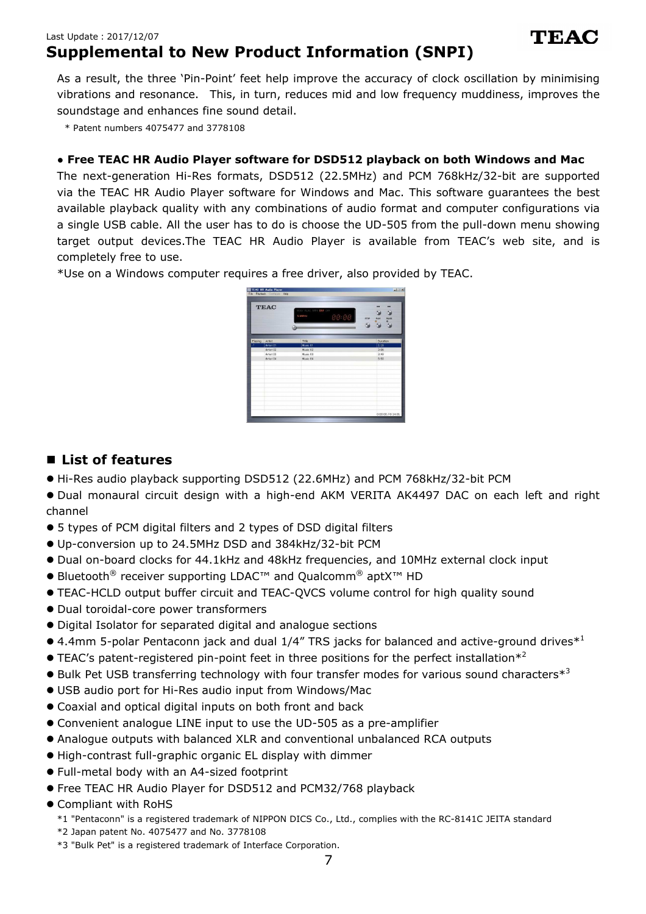## Last Update:2017/12/07 **Supplemental to New Product Information (SNPI)**

As a result, the three 'Pin-Point' feet help improve the accuracy of clock oscillation by minimising vibrations and resonance. This, in turn, reduces mid and low frequency muddiness, improves the soundstage and enhances fine sound detail.

\* Patent numbers 4075477 and 3778108

## **● Free TEAC HR Audio Player software for DSD512 playback on both Windows and Mac**

The next-generation Hi-Res formats, DSD512 (22.5MHz) and PCM 768kHz/32-bit are supported via the TEAC HR Audio Player software for Windows and Mac. This software guarantees the best available playback quality with any combinations of audio format and computer configurations via a single USB cable. All the user has to do is choose the UD-505 from the pull-down menu showing target output devices.The TEAC HR Audio Player is available from TEAC's web site, and is completely free to use.

\*Use on a Windows computer requires a free driver, also provided by TEAC.



## **List of features**

- Hi-Res audio playback supporting DSD512 (22.6MHz) and PCM 768kHz/32-bit PCM
- Dual monaural circuit design with a high-end AKM VERITA AK4497 DAC on each left and right channel
- 5 types of PCM digital filters and 2 types of DSD digital filters
- Up-conversion up to 24.5MHz DSD and 384kHz/32-bit PCM
- Dual on-board clocks for 44.1kHz and 48kHz frequencies, and 10MHz external clock input
- $\bullet$  Bluetooth® receiver supporting LDAC™ and Qualcomm® aptX<sup>™</sup> HD
- **TEAC-HCLD output buffer circuit and TEAC-QVCS volume control for high quality sound**
- Dual toroidal-core power transformers
- Digital Isolator for separated digital and analogue sections
- $\bullet$  4.4mm 5-polar Pentaconn jack and dual 1/4" TRS jacks for balanced and active-ground drives $^{*1}$
- $\bullet$  TEAC's patent-registered pin-point feet in three positions for the perfect installation\*<sup>2</sup>
- $\bullet$  Bulk Pet USB transferring technology with four transfer modes for various sound characters $^{*3}$
- · USB audio port for Hi-Res audio input from Windows/Mac
- $\bullet$  Coaxial and optical digital inputs on both front and back
- Convenient analogue LINE input to use the UD-505 as a pre-amplifier
- Analogue outputs with balanced XLR and conventional unbalanced RCA outputs
- High-contrast full-graphic organic EL display with dimmer
- Full-metal body with an A4-sized footprint
- Free TEAC HR Audio Player for DSD512 and PCM32/768 playback
- **Compliant with RoHS** 
	- \*1 "Pentaconn" is a registered trademark of NIPPON DICS Co., Ltd., complies with the RC-8141C JEITA standard
	- $*2$  Japan patent No. 4075477 and No. 3778108
	- \*3 "Bulk Pet" is a registered trademark of Interface Corporation.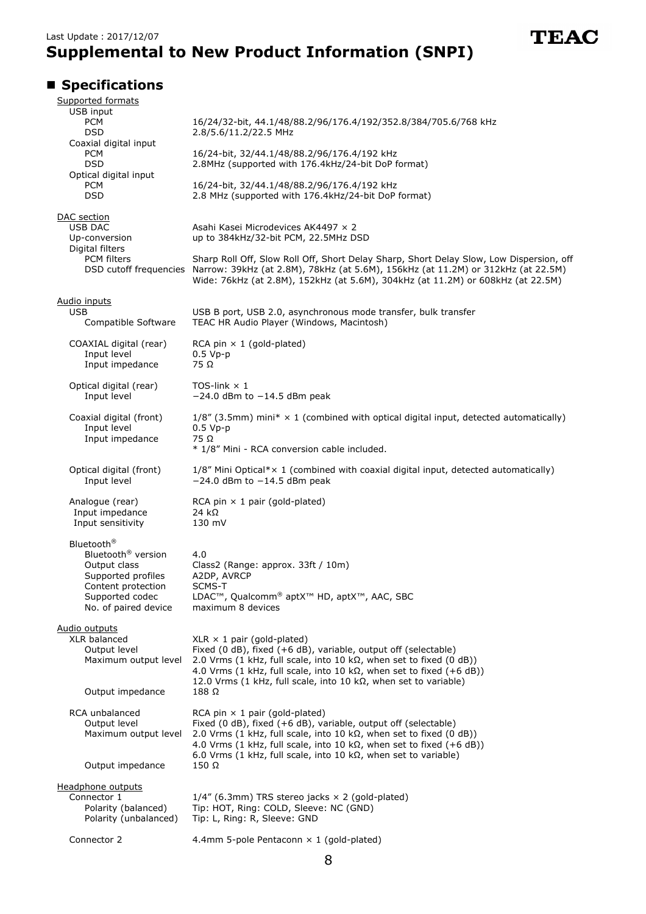

# **Specifications**

|                         | Supported formats                                                                                                                                               |                                                                                                                                                                                                                                                                                                                                                               |
|-------------------------|-----------------------------------------------------------------------------------------------------------------------------------------------------------------|---------------------------------------------------------------------------------------------------------------------------------------------------------------------------------------------------------------------------------------------------------------------------------------------------------------------------------------------------------------|
| USB input<br><b>PCM</b> |                                                                                                                                                                 | 16/24/32-bit, 44.1/48/88.2/96/176.4/192/352.8/384/705.6/768 kHz                                                                                                                                                                                                                                                                                               |
| <b>DSD</b>              |                                                                                                                                                                 | 2.8/5.6/11.2/22.5 MHz                                                                                                                                                                                                                                                                                                                                         |
|                         | Coaxial digital input<br><b>PCM</b><br><b>DSD</b>                                                                                                               | 16/24-bit, 32/44.1/48/88.2/96/176.4/192 kHz<br>2.8MHz (supported with 176.4kHz/24-bit DoP format)                                                                                                                                                                                                                                                             |
|                         | Optical digital input<br><b>PCM</b><br><b>DSD</b>                                                                                                               | 16/24-bit, 32/44.1/48/88.2/96/176.4/192 kHz<br>2.8 MHz (supported with 176.4kHz/24-bit DoP format)                                                                                                                                                                                                                                                            |
|                         |                                                                                                                                                                 |                                                                                                                                                                                                                                                                                                                                                               |
|                         | DAC section<br><b>USB DAC</b><br>Up-conversion                                                                                                                  | Asahi Kasei Microdevices AK4497 x 2<br>up to 384kHz/32-bit PCM, 22.5MHz DSD                                                                                                                                                                                                                                                                                   |
|                         | Digital filters<br><b>PCM</b> filters                                                                                                                           | Sharp Roll Off, Slow Roll Off, Short Delay Sharp, Short Delay Slow, Low Dispersion, off<br>DSD cutoff frequencies Narrow: 39kHz (at 2.8M), 78kHz (at 5.6M), 156kHz (at 11.2M) or 312kHz (at 22.5M)<br>Wide: 76kHz (at 2.8M), 152kHz (at 5.6M), 304kHz (at 11.2M) or 608kHz (at 22.5M)                                                                         |
|                         | <u>Audio inputs</u><br><b>USB</b><br>Compatible Software                                                                                                        | USB B port, USB 2.0, asynchronous mode transfer, bulk transfer<br>TEAC HR Audio Player (Windows, Macintosh)                                                                                                                                                                                                                                                   |
|                         | COAXIAL digital (rear)<br>Input level<br>Input impedance                                                                                                        | RCA pin $\times$ 1 (gold-plated)<br>$0.5 Vp-p$<br>75 Ω                                                                                                                                                                                                                                                                                                        |
|                         | Optical digital (rear)<br>Input level                                                                                                                           | TOS-link $\times$ 1<br>$-24.0$ dBm to $-14.5$ dBm peak                                                                                                                                                                                                                                                                                                        |
|                         | Coaxial digital (front)<br>Input level<br>Input impedance                                                                                                       | $1/8''$ (3.5mm) mini* $\times$ 1 (combined with optical digital input, detected automatically)<br>$0.5 Vp-p$<br>75 Ω                                                                                                                                                                                                                                          |
|                         |                                                                                                                                                                 | * 1/8" Mini - RCA conversion cable included.                                                                                                                                                                                                                                                                                                                  |
|                         | Optical digital (front)<br>Input level                                                                                                                          | 1/8" Mini Optical* x 1 (combined with coaxial digital input, detected automatically)<br>$-24.0$ dBm to $-14.5$ dBm peak                                                                                                                                                                                                                                       |
|                         | Analogue (rear)<br>Input impedance<br>Input sensitivity                                                                                                         | RCA pin $\times$ 1 pair (gold-plated)<br>24 k $\Omega$<br>130 mV                                                                                                                                                                                                                                                                                              |
|                         | Bluetooth <sup>®</sup><br>Bluetooth <sup>®</sup> version<br>Output class<br>Supported profiles<br>Content protection<br>Supported codec<br>No. of paired device | 4.0<br>Class2 (Range: approx. 33ft / 10m)<br>A2DP, AVRCP<br>SCMS-T<br>LDAC™, Qualcomm® aptX™ HD, aptX™, AAC, SBC<br>maximum 8 devices                                                                                                                                                                                                                         |
|                         | Audio outputs<br>XLR balanced<br>Output level<br>Maximum output level<br>Output impedance                                                                       | $XLR \times 1$ pair (gold-plated)<br>Fixed (0 dB), fixed (+6 dB), variable, output off (selectable)<br>2.0 Vrms (1 kHz, full scale, into 10 k $\Omega$ , when set to fixed (0 dB))<br>4.0 Vrms (1 kHz, full scale, into 10 k $\Omega$ , when set to fixed (+6 dB))<br>12.0 Vrms (1 kHz, full scale, into 10 k $\Omega$ , when set to variable)<br>$188\Omega$ |
|                         | RCA unbalanced<br>Output level<br>Maximum output level                                                                                                          | RCA pin $\times$ 1 pair (gold-plated)<br>Fixed (0 dB), fixed (+6 dB), variable, output off (selectable)<br>2.0 Vrms (1 kHz, full scale, into 10 k $\Omega$ , when set to fixed (0 dB))<br>4.0 Vrms (1 kHz, full scale, into 10 k $\Omega$ , when set to fixed (+6 dB))<br>6.0 Vrms (1 kHz, full scale, into 10 k $\Omega$ , when set to variable)             |
|                         | Output impedance                                                                                                                                                | $150 \Omega$                                                                                                                                                                                                                                                                                                                                                  |
|                         | Headphone outputs<br>Connector 1<br>Polarity (balanced)<br>Polarity (unbalanced)                                                                                | $1/4$ " (6.3mm) TRS stereo jacks $\times$ 2 (gold-plated)<br>Tip: HOT, Ring: COLD, Sleeve: NC (GND)<br>Tip: L, Ring: R, Sleeve: GND                                                                                                                                                                                                                           |
|                         | Connector 2                                                                                                                                                     | 4.4mm 5-pole Pentaconn $\times$ 1 (gold-plated)                                                                                                                                                                                                                                                                                                               |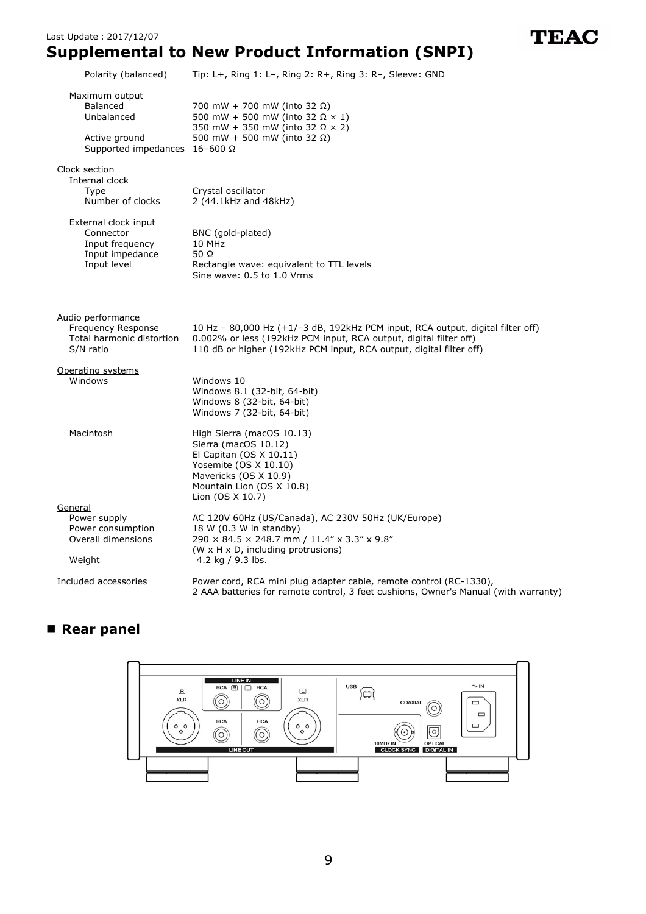# **Supplemental to New Product Information (SNPI)**

| Polarity (balanced)                                                                               | Tip: L+, Ring 1: L-, Ring 2: R+, Ring 3: R-, Sleeve: GND                                                                                                                                                                       |
|---------------------------------------------------------------------------------------------------|--------------------------------------------------------------------------------------------------------------------------------------------------------------------------------------------------------------------------------|
| Maximum output<br>Balanced<br>Unbalanced<br>Active ground<br>Supported impedances $16-600 \Omega$ | 700 mW + 700 mW (into 32 Ω)<br>500 mW + 500 mW (into 32 $\Omega$ $\times$ 1)<br>350 mW + 350 mW (into 32 $\Omega$ × 2)<br>500 mW + 500 mW (into 32 $\Omega$ )                                                                  |
| Clock section<br>Internal clock<br>Type<br>Number of clocks                                       | Crystal oscillator<br>2 (44.1kHz and 48kHz)                                                                                                                                                                                    |
| External clock input<br>Connector<br>Input frequency<br>Input impedance<br>Input level            | BNC (gold-plated)<br>10 MHz<br>50 $\Omega$<br>Rectangle wave: equivalent to TTL levels<br>Sine wave: 0.5 to 1.0 Vrms                                                                                                           |
| Audio performance<br>Frequency Response<br>Total harmonic distortion<br>S/N ratio                 | 10 Hz $-$ 80,000 Hz $(+1/-3$ dB, 192kHz PCM input, RCA output, digital filter off)<br>0.002% or less (192kHz PCM input, RCA output, digital filter off)<br>110 dB or higher (192kHz PCM input, RCA output, digital filter off) |
| Operating systems<br>Windows                                                                      | Windows 10<br>Windows 8.1 (32-bit, 64-bit)<br>Windows 8 (32-bit, 64-bit)<br>Windows 7 (32-bit, 64-bit)                                                                                                                         |
| Macintosh                                                                                         | High Sierra (macOS 10.13)<br>Sierra (macOS 10.12)<br>El Capitan $(OS X 10.11)$<br>Yosemite (OS X 10.10)<br>Mavericks (OS X 10.9)<br>Mountain Lion (OS X 10.8)<br>Lion (OS X 10.7)                                              |
| General<br>Power supply<br>Power consumption<br>Overall dimensions<br>Weight                      | AC 120V 60Hz (US/Canada), AC 230V 50Hz (UK/Europe)<br>18 W (0.3 W in standby)<br>290 × 84.5 × 248.7 mm / 11.4" x 3.3" x 9.8"<br>(W x H x D, including protrusions)<br>4.2 kg / 9.3 lbs.                                        |
| Included accessories                                                                              | Power cord, RCA mini plug adapter cable, remote control (RC-1330),<br>2 AAA batteries for remote control, 3 feet cushions, Owner's Manual (with warranty)                                                                      |

# **Rear panel**



9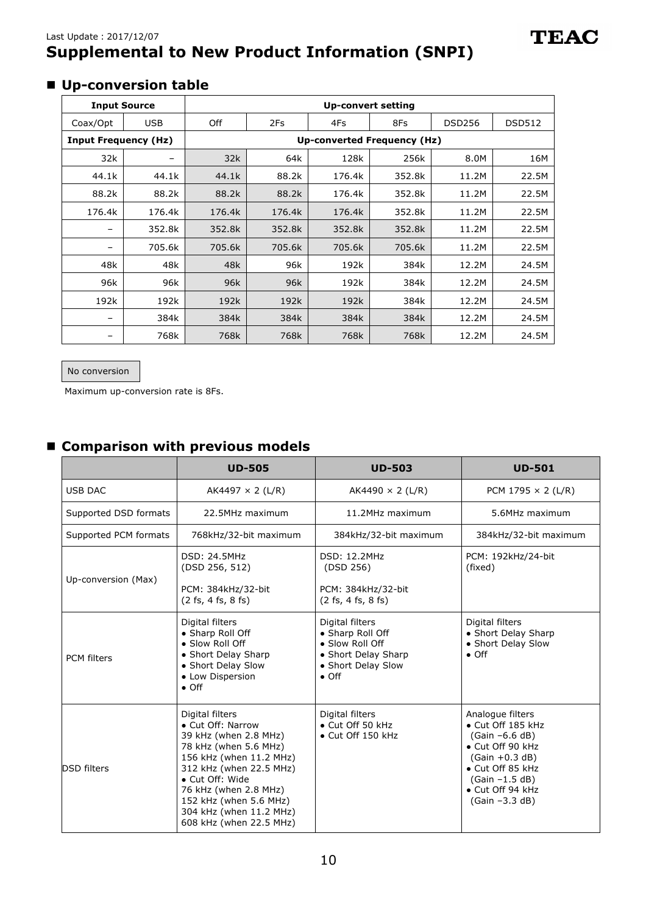## Last Update:2017/12/07 **Supplemental to New Product Information (SNPI)**

## **Up-conversion table**

| <b>Input Source</b>         |            | <b>Up-convert setting</b>   |        |        |        |               |               |
|-----------------------------|------------|-----------------------------|--------|--------|--------|---------------|---------------|
| Coax/Opt                    | <b>USB</b> | Off                         | 2Fs    | 4Fs    | 8Fs    | <b>DSD256</b> | <b>DSD512</b> |
| <b>Input Frequency (Hz)</b> |            | Up-converted Frequency (Hz) |        |        |        |               |               |
| 32k                         |            | 32k                         | 64k    | 128k   | 256k   | 8.0M          | 16M           |
| 44.1k                       | 44.1k      | 44.1k                       | 88.2k  | 176.4k | 352.8k | 11.2M         | 22.5M         |
| 88.2k                       | 88.2k      | 88.2k                       | 88.2k  | 176.4k | 352.8k | 11.2M         | 22.5M         |
| 176.4k                      | 176.4k     | 176.4k                      | 176.4k | 176.4k | 352.8k | 11.2M         | 22.5M         |
|                             | 352.8k     | 352.8k                      | 352.8k | 352.8k | 352.8k | 11.2M         | 22.5M         |
|                             | 705.6k     | 705.6k                      | 705.6k | 705.6k | 705.6k | 11.2M         | 22.5M         |
| 48k                         | 48k        | 48k                         | 96k    | 192k   | 384k   | 12.2M         | 24.5M         |
| 96k                         | 96k        | 96k                         | 96k    | 192k   | 384k   | 12.2M         | 24.5M         |
| 192k                        | 192k       | 192k                        | 192k   | 192k   | 384k   | 12.2M         | 24.5M         |
|                             | 384k       | 384k                        | 384k   | 384k   | 384k   | 12.2M         | 24.5M         |
|                             | 768k       | 768k                        | 768k   | 768k   | 768k   | 12.2M         | 24.5M         |

#### No conversion

Maximum up-conversion rate is 8Fs.

# **Comparison with previous models**

|                       | <b>UD-505</b>                                                                                                                                                                                                                                                            | <b>UD-503</b>                                                                                                        | <b>UD-501</b>                                                                                                                                                                     |  |
|-----------------------|--------------------------------------------------------------------------------------------------------------------------------------------------------------------------------------------------------------------------------------------------------------------------|----------------------------------------------------------------------------------------------------------------------|-----------------------------------------------------------------------------------------------------------------------------------------------------------------------------------|--|
| <b>USB DAC</b>        | AK4497 $\times$ 2 (L/R)                                                                                                                                                                                                                                                  | AK4490 $\times$ 2 (L/R)                                                                                              | PCM 1795 $\times$ 2 (L/R)                                                                                                                                                         |  |
| Supported DSD formats | 22.5MHz maximum                                                                                                                                                                                                                                                          | 11.2MHz maximum                                                                                                      | 5.6MHz maximum                                                                                                                                                                    |  |
| Supported PCM formats | 768kHz/32-bit maximum                                                                                                                                                                                                                                                    | 384kHz/32-bit maximum                                                                                                | 384kHz/32-bit maximum                                                                                                                                                             |  |
| Up-conversion (Max)   | <b>DSD: 24.5MHz</b><br>(DSD 256, 512)<br>PCM: 384kHz/32-bit<br>(2 fs, 4 fs, 8 fs)                                                                                                                                                                                        | <b>DSD: 12.2MHz</b><br>(DSD 256)<br>PCM: 384kHz/32-bit<br>$(2 \text{ fs}, 4 \text{ fs}, 8 \text{ fs})$               | PCM: 192kHz/24-bit<br>(fixed)                                                                                                                                                     |  |
| <b>PCM</b> filters    | Digital filters<br>• Sharp Roll Off<br>• Slow Roll Off<br>• Short Delay Sharp<br>• Short Delay Slow<br>• Low Dispersion<br>$\bullet$ Off                                                                                                                                 | Digital filters<br>• Sharp Roll Off<br>• Slow Roll Off<br>• Short Delay Sharp<br>• Short Delay Slow<br>$\bullet$ Off | Digital filters<br>• Short Delay Sharp<br>• Short Delay Slow<br>$\bullet$ Off                                                                                                     |  |
| <b>DSD</b> filters    | Digital filters<br>• Cut Off: Narrow<br>39 kHz (when 2.8 MHz)<br>78 kHz (when 5.6 MHz)<br>156 kHz (when 11.2 MHz)<br>312 kHz (when 22.5 MHz)<br>• Cut Off: Wide<br>76 kHz (when 2.8 MHz)<br>152 kHz (when 5.6 MHz)<br>304 kHz (when 11.2 MHz)<br>608 kHz (when 22.5 MHz) | Digital filters<br>• Cut Off 50 kHz<br>• Cut Off 150 kHz                                                             | Analogue filters<br>· Cut Off 185 kHz<br>$(Gain -6.6 dB)$<br>• Cut Off 90 kHz<br>$(Gain +0.3 dB)$<br>• Cut Off 85 kHz<br>$(Gain -1.5 dB)$<br>• Cut Off 94 kHz<br>$(Gain -3.3 dB)$ |  |